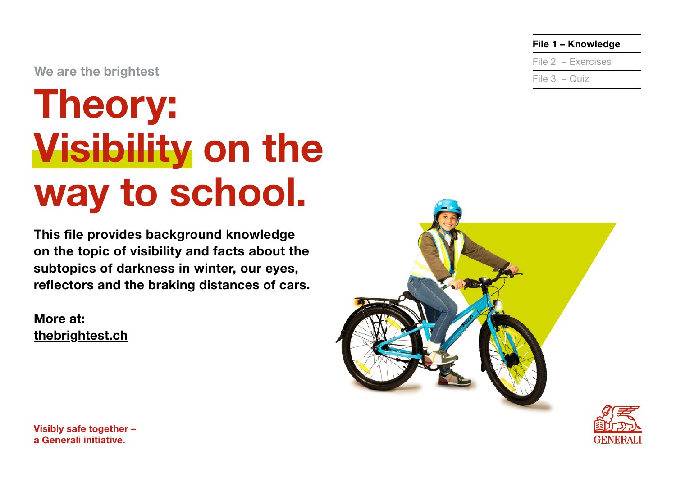We are the brightest

# Theory: Visibility on the way to school.

This file provides background knowledge on the topic of visibility and facts about the subtopics of darkness in winter, our eyes, reflectors and the braking distances of cars.

More at: [thebrightest.ch](http://thebrightest.ch)



File 1 – Knowledge

File 2 – Exercises

File 3 – Quiz

Visibly safe together – a Generali initiative.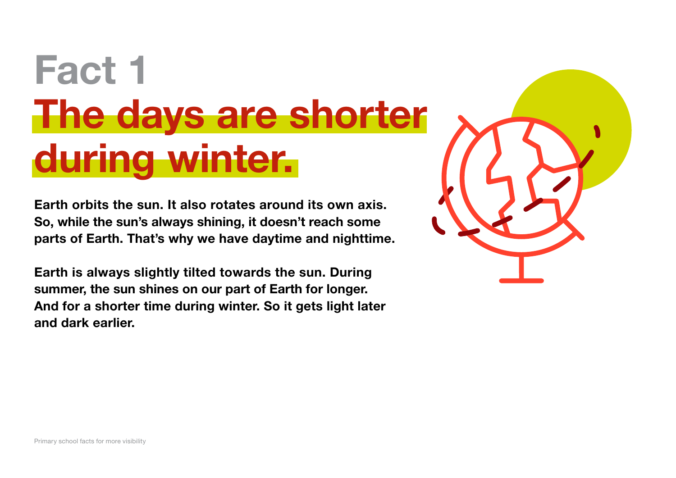# Fact 1 The days are shorter during winter.

Earth orbits the sun. It also rotates around its own axis. So, while the sun's always shining, it doesn't reach some parts of Earth. That's why we have daytime and nighttime.

Earth is always slightly tilted towards the sun. During summer, the sun shines on our part of Earth for longer. And for a shorter time during winter. So it gets light later and dark earlier.

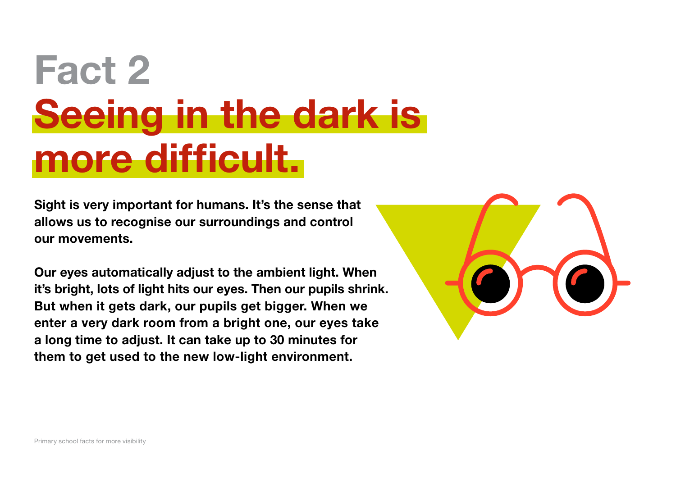# Fact 2 Seeing in the dark is more difficult.

Sight is very important for humans. It's the sense that allows us to recognise our surroundings and control our movements.

Our eyes automatically adjust to the ambient light. When it's bright, lots of light hits our eyes. Then our pupils shrink. But when it gets dark, our pupils get bigger. When we enter a very dark room from a bright one, our eyes take a long time to adjust. It can take up to 30 minutes for them to get used to the new low-light environment.

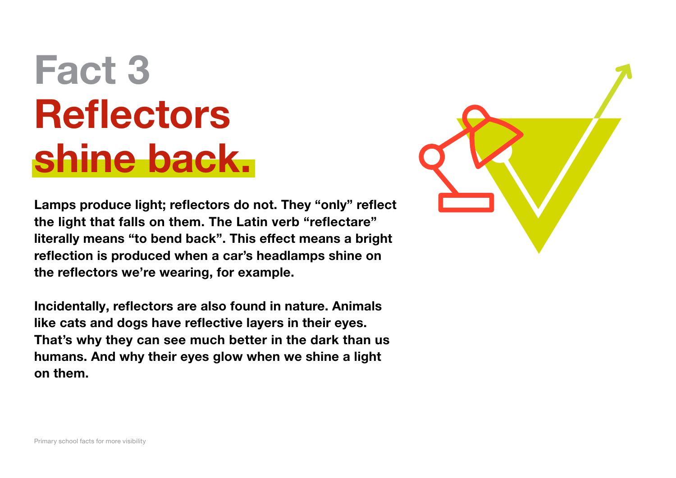# Fact 3 **Reflectors** shine back.

Lamps produce light; reflectors do not. They "only" reflect the light that falls on them. The Latin verb "reflectare" literally means "to bend back". This effect means a bright reflection is produced when a car's headlamps shine on the reflectors we're wearing, for example.

Incidentally, reflectors are also found in nature. Animals like cats and dogs have reflective layers in their eyes. That's why they can see much better in the dark than us humans. And why their eyes glow when we shine a light on them.